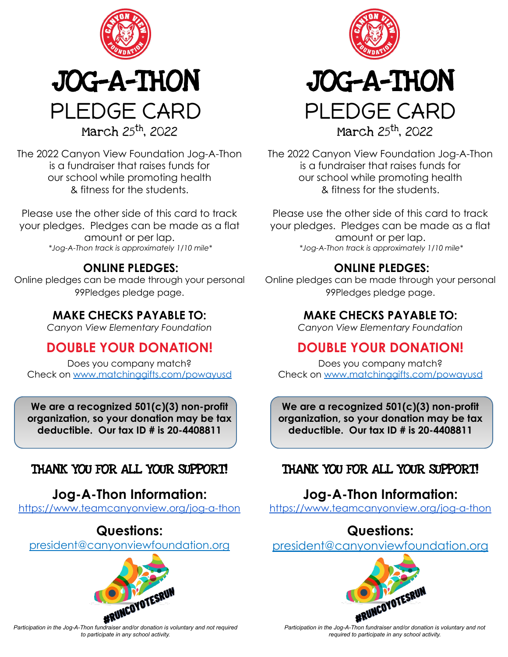



The 2022 Canyon View Foundation Jog-A-Thon is a fundraiser that raises funds for our school while promoting health & fitness for the students.

Please use the other side of this card to track your pledges. Pledges can be made as a flat amount or per lap.  *\*Jog-A-Thon track is approximately 1/10 mile\**

#### **ONLINE PLEDGES:**

Online pledges can be made through your personal 99Pledges pledge page.

#### **MAKE CHECKS PAYABLE TO:**

*Canyon View Elementary Foundation*

### **DOUBLE YOUR DONATION!**

Does you company match? Check on [www.matchinggifts.com/powayusd](http://www.matchinggifts.com/powayusd)

**We are a recognized 501(c)(3) non-profit organization, so your donation may be tax deductible. Our tax ID # is 20-4408811**

#### THANK YOU FOR ALL YOUR SUPPORT!

### **Jog-A-Thon Information:**

<https://www.teamcanyonview.org/jog-a-thon>

#### **Questions:**

president@canyonviewfoundation.org







March 25th, 2022

The 2022 Canyon View Foundation Jog-A-Thon is a fundraiser that raises funds for our school while promoting health & fitness for the students.

Please use the other side of this card to track your pledges. Pledges can be made as a flat amount or per lap.  *\*Jog-A-Thon track is approximately 1/10 mile\**

#### **ONLINE PLEDGES:**

Online pledges can be made through your personal 99Pledges pledge page.

#### **MAKE CHECKS PAYABLE TO:**

*Canyon View Elementary Foundation*

### **DOUBLE YOUR DONATION!**

Does you company match? Check on [www.matchinggifts.com/powayusd](http://www.matchinggifts.com/powayusd)

**We are a recognized 501(c)(3) non-profit organization, so your donation may be tax deductible. Our tax ID # is 20-4408811**

#### THANK YOU FOR ALL YOUR SUPPORT!

### **Jog-A-Thon Information:**

<https://www.teamcanyonview.org/jog-a-thon>

### **Questions:**

president@canyonviewfoundation.org



*Participation in the Jog-A-Thon fundraiser and/or donation is voluntary and not required to participate in any school activity.*